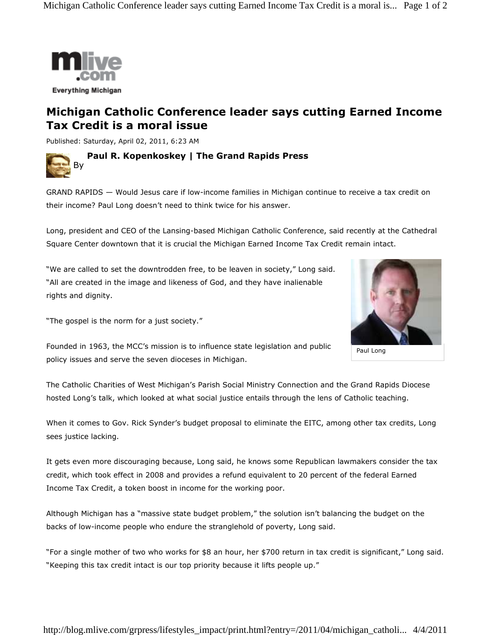

## **Michigan Catholic Conference leader says cutting Earned Income Tax Credit is a moral issue**

Published: Saturday, April 02, 2011, 6:23 AM



GRAND RAPIDS — Would Jesus care if low-income families in Michigan continue to receive a tax credit on their income? Paul Long doesn't need to think twice for his answer.

Long, president and CEO of the Lansing-based Michigan Catholic Conference, said recently at the Cathedral Square Center downtown that it is crucial the Michigan Earned Income Tax Credit remain intact.

"We are called to set the downtrodden free, to be leaven in society," Long said. "All are created in the image and likeness of God, and they have inalienable rights and dignity.

"The gospel is the norm for a just society."



Paul Long

Founded in 1963, the MCC's mission is to influence state legislation and public policy issues and serve the seven dioceses in Michigan.

The Catholic Charities of West Michigan's Parish Social Ministry Connection and the Grand Rapids Diocese hosted Long's talk, which looked at what social justice entails through the lens of Catholic teaching.

When it comes to Gov. Rick Synder's budget proposal to eliminate the EITC, among other tax credits, Long sees justice lacking.

It gets even more discouraging because, Long said, he knows some Republican lawmakers consider the tax credit, which took effect in 2008 and provides a refund equivalent to 20 percent of the federal Earned Income Tax Credit, a token boost in income for the working poor.

Although Michigan has a "massive state budget problem," the solution isn't balancing the budget on the backs of low-income people who endure the stranglehold of poverty, Long said.

"For a single mother of two who works for \$8 an hour, her \$700 return in tax credit is significant," Long said. "Keeping this tax credit intact is our top priority because it lifts people up."